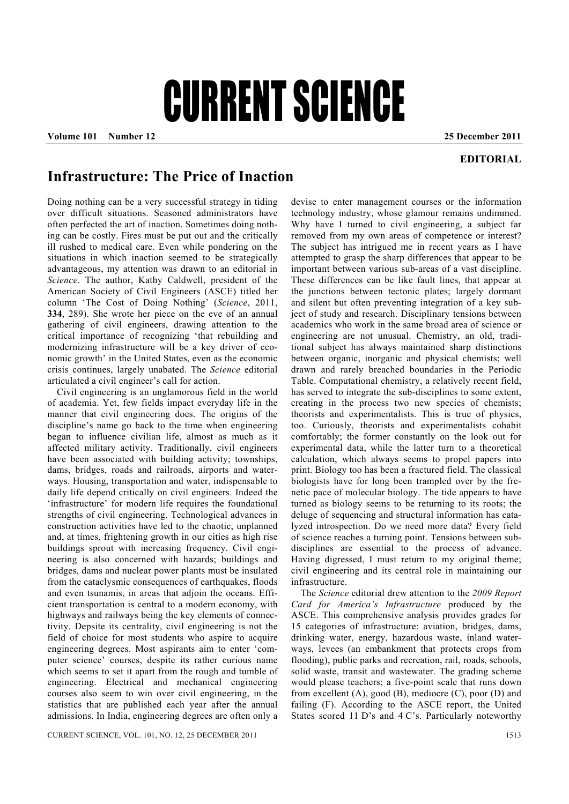## CURRENT SCIENCE

**Volume 101 Number 12 25 December 2011** 

## **EDITORIAL**

## **Infrastructure: The Price of Inaction**

Doing nothing can be a very successful strategy in tiding over difficult situations. Seasoned administrators have often perfected the art of inaction. Sometimes doing nothing can be costly. Fires must be put out and the critically ill rushed to medical care. Even while pondering on the situations in which inaction seemed to be strategically advantageous, my attention was drawn to an editorial in *Science*. The author, Kathy Caldwell, president of the American Society of Civil Engineers (ASCE) titled her column 'The Cost of Doing Nothing' (*Science*, 2011, **334**, 289). She wrote her piece on the eve of an annual gathering of civil engineers, drawing attention to the critical importance of recognizing 'that rebuilding and modernizing infrastructure will be a key driver of economic growth' in the United States, even as the economic crisis continues, largely unabated. The *Science* editorial articulated a civil engineer's call for action.

 Civil engineering is an unglamorous field in the world of academia. Yet, few fields impact everyday life in the manner that civil engineering does. The origins of the discipline's name go back to the time when engineering began to influence civilian life, almost as much as it affected military activity. Traditionally, civil engineers have been associated with building activity; townships, dams, bridges, roads and railroads, airports and waterways. Housing, transportation and water, indispensable to daily life depend critically on civil engineers. Indeed the 'infrastructure' for modern life requires the foundational strengths of civil engineering. Technological advances in construction activities have led to the chaotic, unplanned and, at times, frightening growth in our cities as high rise buildings sprout with increasing frequency. Civil engineering is also concerned with hazards; buildings and bridges, dams and nuclear power plants must be insulated from the cataclysmic consequences of earthquakes, floods and even tsunamis, in areas that adjoin the oceans. Efficient transportation is central to a modern economy, with highways and railways being the key elements of connectivity. Depsite its centrality, civil engineering is not the field of choice for most students who aspire to acquire engineering degrees. Most aspirants aim to enter 'computer science' courses, despite its rather curious name which seems to set it apart from the rough and tumble of engineering. Electrical and mechanical engineering courses also seem to win over civil engineering, in the statistics that are published each year after the annual admissions. In India, engineering degrees are often only a

devise to enter management courses or the information technology industry, whose glamour remains undimmed. Why have I turned to civil engineering, a subject far removed from my own areas of competence or interest? The subject has intrigued me in recent years as I have attempted to grasp the sharp differences that appear to be important between various sub-areas of a vast discipline. These differences can be like fault lines, that appear at the junctions between tectonic plates; largely dormant and silent but often preventing integration of a key subject of study and research. Disciplinary tensions between academics who work in the same broad area of science or engineering are not unusual. Chemistry, an old, traditional subject has always maintained sharp distinctions between organic, inorganic and physical chemists; well drawn and rarely breached boundaries in the Periodic Table. Computational chemistry, a relatively recent field, has served to integrate the sub-disciplines to some extent, creating in the process two new species of chemists; theorists and experimentalists. This is true of physics, too. Curiously, theorists and experimentalists cohabit comfortably; the former constantly on the look out for experimental data, while the latter turn to a theoretical calculation, which always seems to propel papers into print. Biology too has been a fractured field. The classical biologists have for long been trampled over by the frenetic pace of molecular biology. The tide appears to have turned as biology seems to be returning to its roots; the deluge of sequencing and structural information has catalyzed introspection. Do we need more data? Every field of science reaches a turning point. Tensions between subdisciplines are essential to the process of advance. Having digressed, I must return to my original theme; civil engineering and its central role in maintaining our infrastructure.

 The *Science* editorial drew attention to the *2009 Report Card for America's Infrastructure* produced by the ASCE. This comprehensive analysis provides grades for 15 categories of infrastructure: aviation, bridges, dams, drinking water, energy, hazardous waste, inland waterways, levees (an embankment that protects crops from flooding), public parks and recreation, rail, roads, schools, solid waste, transit and wastewater. The grading scheme would please teachers; a five-point scale that runs down from excellent  $(A)$ , good  $(B)$ , mediocre  $(C)$ , poor  $(D)$  and failing (F). According to the ASCE report, the United States scored 11 D's and 4 C's. Particularly noteworthy